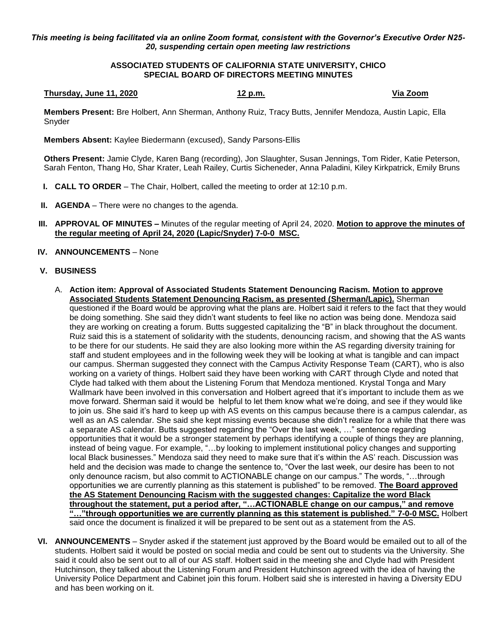*This meeting is being facilitated via an online Zoom format, consistent with the Governor's Executive Order N25- 20, suspending certain open meeting law restrictions*

## **ASSOCIATED STUDENTS OF CALIFORNIA STATE UNIVERSITY, CHICO SPECIAL BOARD OF DIRECTORS MEETING MINUTES**

## **Thursday, June 11, 2020 12 p.m. Via Zoom**

**Members Present:** Bre Holbert, Ann Sherman, Anthony Ruiz, Tracy Butts, Jennifer Mendoza, Austin Lapic, Ella Snyder

**Members Absent:** Kaylee Biedermann (excused), Sandy Parsons-Ellis

**Others Present:** Jamie Clyde, Karen Bang (recording), Jon Slaughter, Susan Jennings, Tom Rider, Katie Peterson, Sarah Fenton, Thang Ho, Shar Krater, Leah Railey, Curtis Sicheneder, Anna Paladini, Kiley Kirkpatrick, Emily Bruns

- **I. CALL TO ORDER** The Chair, Holbert, called the meeting to order at 12:10 p.m.
- **II. AGENDA** There were no changes to the agenda.
- **III. APPROVAL OF MINUTES –** Minutes of the regular meeting of April 24, 2020. **Motion to approve the minutes of the regular meeting of April 24, 2020 (Lapic/Snyder) 7-0-0 MSC.**
- **IV. ANNOUNCEMENTS** None

## **V. BUSINESS**

- A. **Action item: Approval of Associated Students Statement Denouncing Racism. Motion to approve Associated Students Statement Denouncing Racism, as presented (Sherman/Lapic).** Sherman questioned if the Board would be approving what the plans are. Holbert said it refers to the fact that they would be doing something. She said they didn't want students to feel like no action was being done. Mendoza said they are working on creating a forum. Butts suggested capitalizing the "B" in black throughout the document. Ruiz said this is a statement of solidarity with the students, denouncing racism, and showing that the AS wants to be there for our students. He said they are also looking more within the AS regarding diversity training for staff and student employees and in the following week they will be looking at what is tangible and can impact our campus. Sherman suggested they connect with the Campus Activity Response Team (CART), who is also working on a variety of things. Holbert said they have been working with CART through Clyde and noted that Clyde had talked with them about the Listening Forum that Mendoza mentioned. Krystal Tonga and Mary Wallmark have been involved in this conversation and Holbert agreed that it's important to include them as we move forward. Sherman said it would be helpful to let them know what we're doing, and see if they would like to join us. She said it's hard to keep up with AS events on this campus because there is a campus calendar, as well as an AS calendar. She said she kept missing events because she didn't realize for a while that there was a separate AS calendar. Butts suggested regarding the "Over the last week, …" sentence regarding opportunities that it would be a stronger statement by perhaps identifying a couple of things they are planning, instead of being vague. For example, "…by looking to implement institutional policy changes and supporting local Black businesses." Mendoza said they need to make sure that it's within the AS' reach. Discussion was held and the decision was made to change the sentence to, "Over the last week, our desire has been to not only denounce racism, but also commit to ACTIONABLE change on our campus." The words, "…through opportunities we are currently planning as this statement is published" to be removed. **The Board approved the AS Statement Denouncing Racism with the suggested changes: Capitalize the word Black throughout the statement, put a period after, "…ACTIONABLE change on our campus," and remove "…"through opportunities we are currently planning as this statement is published." 7-0-0 MSC.** Holbert said once the document is finalized it will be prepared to be sent out as a statement from the AS.
- **VI. ANNOUNCEMENTS** Snyder asked if the statement just approved by the Board would be emailed out to all of the students. Holbert said it would be posted on social media and could be sent out to students via the University. She said it could also be sent out to all of our AS staff. Holbert said in the meeting she and Clyde had with President Hutchinson, they talked about the Listening Forum and President Hutchinson agreed with the idea of having the University Police Department and Cabinet join this forum. Holbert said she is interested in having a Diversity EDU and has been working on it.